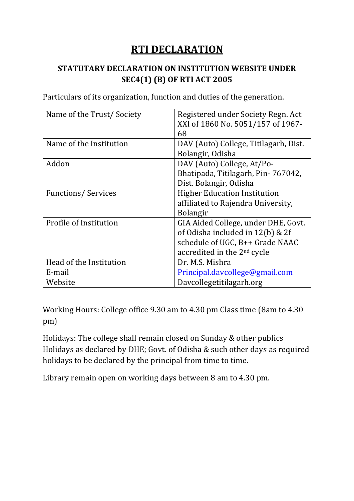## **RTI DECLARATION**

#### **STATUTARY DECLARATION ON INSTITUTION WEBSITE UNDER SEC4(1) (B) OF RTI ACT 2005**

Particulars of its organization, function and duties of the generation.

| Name of the Trust/Society | Registered under Society Regn. Act      |  |
|---------------------------|-----------------------------------------|--|
|                           | XXI of 1860 No. 5051/157 of 1967-       |  |
|                           | 68                                      |  |
| Name of the Institution   | DAV (Auto) College, Titilagarh, Dist.   |  |
|                           | Bolangir, Odisha                        |  |
| Addon                     | DAV (Auto) College, At/Po-              |  |
|                           | Bhatipada, Titilagarh, Pin-767042,      |  |
|                           | Dist. Bolangir, Odisha                  |  |
| <b>Functions/Services</b> | <b>Higher Education Institution</b>     |  |
|                           | affiliated to Rajendra University,      |  |
|                           | <b>Bolangir</b>                         |  |
| Profile of Institution    | GIA Aided College, under DHE, Govt.     |  |
|                           | of Odisha included in 12(b) & 2f        |  |
|                           | schedule of UGC, B++ Grade NAAC         |  |
|                           | accredited in the 2 <sup>nd</sup> cycle |  |
| Head of the Institution   | Dr. M.S. Mishra                         |  |
| E-mail                    | Principal.davcollege@gmail.com          |  |
| Website                   | Davcollegetitilagarh.org                |  |

Working Hours: College office 9.30 am to 4.30 pm Class time (8am to 4.30 pm)

Holidays: The college shall remain closed on Sunday & other publics Holidays as declared by DHE; Govt. of Odisha & such other days as required holidays to be declared by the principal from time to time.

Library remain open on working days between 8 am to 4.30 pm.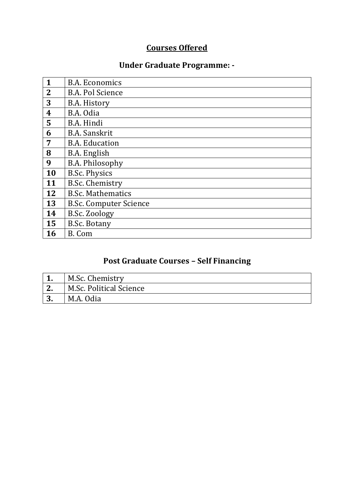## **Courses Offered**

### **Under Graduate Programme: -**

| 1                       | <b>B.A. Economics</b>         |
|-------------------------|-------------------------------|
| $\overline{2}$          | <b>B.A. Pol Science</b>       |
| 3                       | B.A. History                  |
| $\overline{\mathbf{4}}$ | B.A. Odia                     |
| 5                       | B.A. Hindi                    |
| 6                       | <b>B.A.</b> Sanskrit          |
| 7                       | <b>B.A. Education</b>         |
| 8                       | B.A. English                  |
| 9                       | <b>B.A. Philosophy</b>        |
| 10                      | <b>B.Sc. Physics</b>          |
| 11                      | <b>B.Sc. Chemistry</b>        |
| 12                      | <b>B.Sc. Mathematics</b>      |
| 13                      | <b>B.Sc. Computer Science</b> |
| 14                      | B.Sc. Zoology                 |
| 15                      | <b>B.Sc. Botany</b>           |
| 16                      | B. Com                        |

# **Post Graduate Courses – Self Financing**

|           | M.Sc. Chemistry         |
|-----------|-------------------------|
| ၊ ၇       | M.Sc. Political Science |
| ר ו<br>J. | M.A. Odia               |